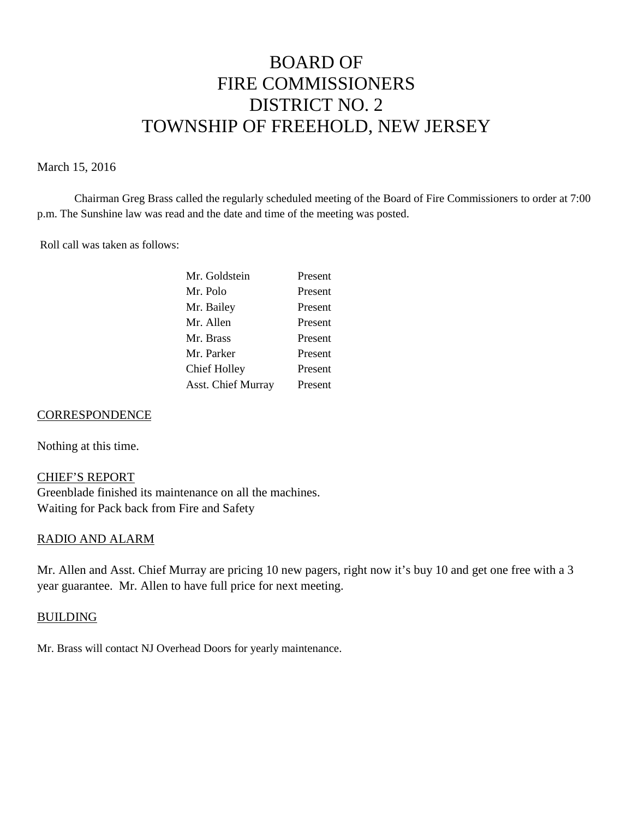# BOARD OF FIRE COMMISSIONERS DISTRICT NO. 2 TOWNSHIP OF FREEHOLD, NEW JERSEY

## March 15, 2016

Chairman Greg Brass called the regularly scheduled meeting of the Board of Fire Commissioners to order at 7:00 p.m. The Sunshine law was read and the date and time of the meeting was posted.

Roll call was taken as follows:

| Present |
|---------|
| Present |
| Present |
| Present |
| Present |
| Present |
| Present |
| Present |
|         |

## **CORRESPONDENCE**

Nothing at this time.

# CHIEF'S REPORT

Greenblade finished its maintenance on all the machines. Waiting for Pack back from Fire and Safety

### RADIO AND ALARM

Mr. Allen and Asst. Chief Murray are pricing 10 new pagers, right now it's buy 10 and get one free with a 3 year guarantee. Mr. Allen to have full price for next meeting.

### BUILDING

Mr. Brass will contact NJ Overhead Doors for yearly maintenance.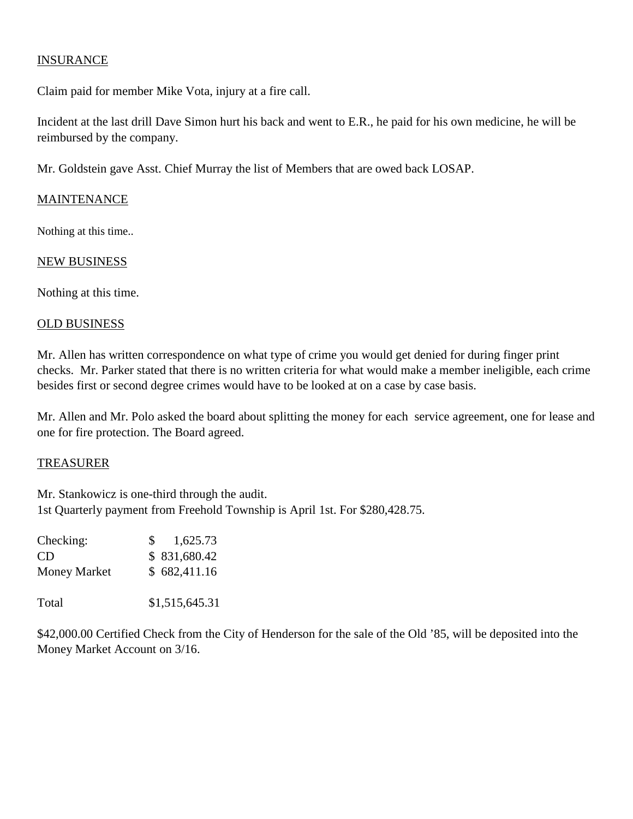# INSURANCE

Claim paid for member Mike Vota, injury at a fire call.

Incident at the last drill Dave Simon hurt his back and went to E.R., he paid for his own medicine, he will be reimbursed by the company.

Mr. Goldstein gave Asst. Chief Murray the list of Members that are owed back LOSAP.

# MAINTENANCE

Nothing at this time..

# NEW BUSINESS

Nothing at this time.

## OLD BUSINESS

Mr. Allen has written correspondence on what type of crime you would get denied for during finger print checks. Mr. Parker stated that there is no written criteria for what would make a member ineligible, each crime besides first or second degree crimes would have to be looked at on a case by case basis.

Mr. Allen and Mr. Polo asked the board about splitting the money for each service agreement, one for lease and one for fire protection. The Board agreed.

# TREASURER

Mr. Stankowicz is one-third through the audit. 1st Quarterly payment from Freehold Township is April 1st. For \$280,428.75.

| Checking:    | 1,625.73<br>$S_{\perp}$ |
|--------------|-------------------------|
| CD           | \$831,680.42            |
| Money Market | \$682,411.16            |
| Total        | \$1,515,645.31          |

\$42,000.00 Certified Check from the City of Henderson for the sale of the Old '85, will be deposited into the Money Market Account on 3/16.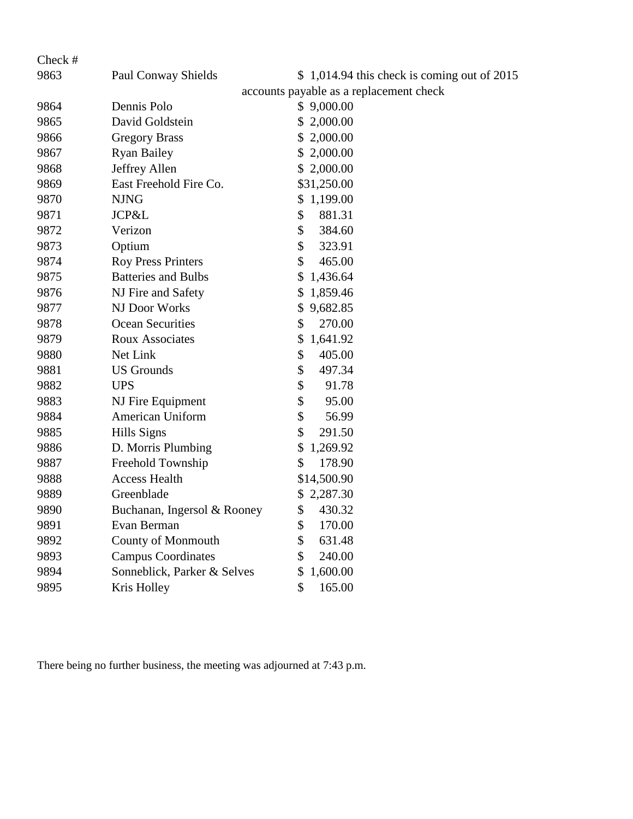| Check # |                             |                                              |
|---------|-----------------------------|----------------------------------------------|
| 9863    | Paul Conway Shields         | $$1,014.94$ this check is coming out of 2015 |
|         |                             | accounts payable as a replacement check      |
| 9864    | Dennis Polo                 | \$9,000.00                                   |
| 9865    | David Goldstein             | \$<br>2,000.00                               |
| 9866    | <b>Gregory Brass</b>        | 2,000.00                                     |
| 9867    | <b>Ryan Bailey</b>          | 2,000.00<br>\$                               |
| 9868    | Jeffrey Allen               | \$2,000.00                                   |
| 9869    | East Freehold Fire Co.      | \$31,250.00                                  |
| 9870    | <b>NJNG</b>                 | \$1,199.00                                   |
| 9871    | JCP&L                       | \$<br>881.31                                 |
| 9872    | Verizon                     | \$<br>384.60                                 |
| 9873    | Optium                      | \$<br>323.91                                 |
| 9874    | <b>Roy Press Printers</b>   | \$<br>465.00                                 |
| 9875    | <b>Batteries and Bulbs</b>  | \$<br>1,436.64                               |
| 9876    | NJ Fire and Safety          | 1,859.46<br>\$                               |
| 9877    | NJ Door Works               | 9,682.85<br>\$                               |
| 9878    | Ocean Securities            | \$<br>270.00                                 |
| 9879    | <b>Roux Associates</b>      | 1,641.92<br>\$                               |
| 9880    | Net Link                    | \$<br>405.00                                 |
| 9881    | <b>US</b> Grounds           | \$<br>497.34                                 |
| 9882    | <b>UPS</b>                  | \$<br>91.78                                  |
| 9883    | NJ Fire Equipment           | \$<br>95.00                                  |
| 9884    | American Uniform            | \$<br>56.99                                  |
| 9885    | Hills Signs                 | \$<br>291.50                                 |
| 9886    | D. Morris Plumbing          | \$<br>1,269.92                               |
| 9887    | Freehold Township           | \$<br>178.90                                 |
| 9888    | <b>Access Health</b>        | \$14,500.90                                  |
| 9889    | Greenblade                  | \$<br>2,287.30                               |
| 9890    | Buchanan, Ingersol & Rooney | \$<br>430.32                                 |
| 9891    | Evan Berman                 | \$<br>170.00                                 |
| 9892    | County of Monmouth          | 631.48<br>\$                                 |
| 9893    | <b>Campus Coordinates</b>   | 240.00<br>\$                                 |
| 9894    | Sonneblick, Parker & Selves | 1,600.00<br>\$                               |
| 9895    | Kris Holley                 | 165.00<br>\$                                 |

There being no further business, the meeting was adjourned at 7:43 p.m.